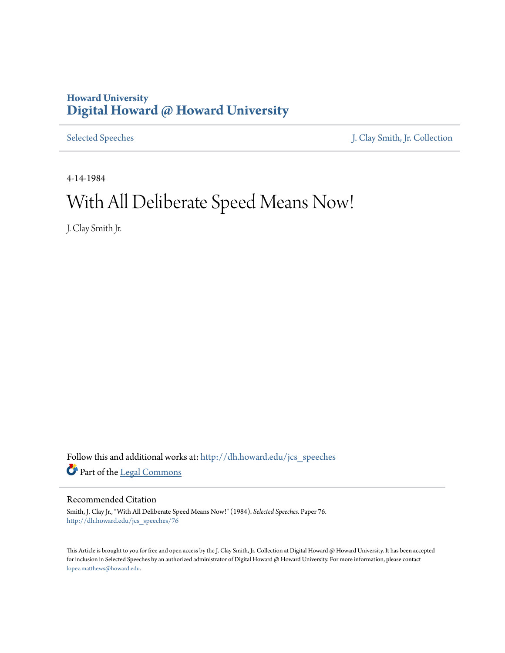## **Howard University [Digital Howard @ Howard University](http://dh.howard.edu?utm_source=dh.howard.edu%2Fjcs_speeches%2F76&utm_medium=PDF&utm_campaign=PDFCoverPages)**

[Selected Speeches](http://dh.howard.edu/jcs_speeches?utm_source=dh.howard.edu%2Fjcs_speeches%2F76&utm_medium=PDF&utm_campaign=PDFCoverPages) [J. Clay Smith, Jr. Collection](http://dh.howard.edu/jcsmith?utm_source=dh.howard.edu%2Fjcs_speeches%2F76&utm_medium=PDF&utm_campaign=PDFCoverPages)

4-14-1984

## With All Deliberate Speed Means Now!

J. Clay Smith Jr.

Follow this and additional works at: [http://dh.howard.edu/jcs\\_speeches](http://dh.howard.edu/jcs_speeches?utm_source=dh.howard.edu%2Fjcs_speeches%2F76&utm_medium=PDF&utm_campaign=PDFCoverPages) Part of the [Legal Commons](http://network.bepress.com/hgg/discipline/502?utm_source=dh.howard.edu%2Fjcs_speeches%2F76&utm_medium=PDF&utm_campaign=PDFCoverPages)

## Recommended Citation

Smith, J. Clay Jr., "With All Deliberate Speed Means Now!" (1984). *Selected Speeches.* Paper 76. [http://dh.howard.edu/jcs\\_speeches/76](http://dh.howard.edu/jcs_speeches/76?utm_source=dh.howard.edu%2Fjcs_speeches%2F76&utm_medium=PDF&utm_campaign=PDFCoverPages)

This Article is brought to you for free and open access by the J. Clay Smith, Jr. Collection at Digital Howard @ Howard University. It has been accepted for inclusion in Selected Speeches by an authorized administrator of Digital Howard @ Howard University. For more information, please contact [lopez.matthews@howard.edu.](mailto:lopez.matthews@howard.edu)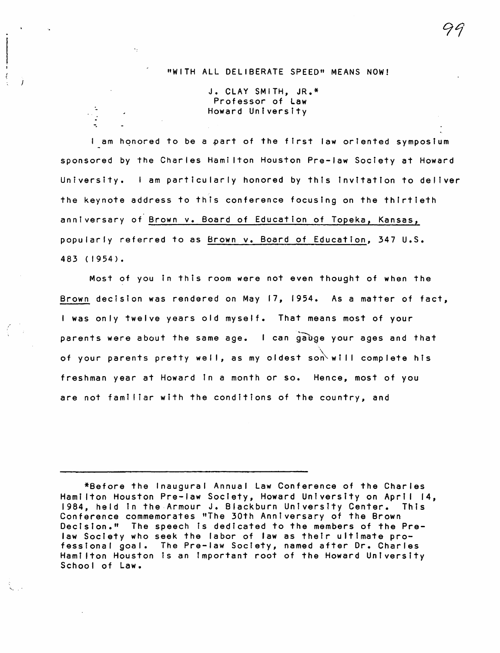## "WITH ALL DELIBERATE SPEED" MEANS NOW!

J. CLAY SMITH, JR.\* Professor of Law Howard University

.-

-.

I am honored to be a part of the first law oriented symposium sponsored by the Charles Hamilton Houston Pre-law Society at Howard University. I am particularly honored by this invitation to deliver the keynote address to this conference focusing on the thirtieth anniversary of Brown v. Board of Education of Topeka, Kansas, popularly referred to as Brown v. Board of Education, 347 U.S. 483 (1954).

Most of you in this room were not even thought of when the Brown decision was rendered on May 17, 1954. As a matter of fact, <sup>I</sup>was only twelve years old myself. That means most of your parents were about the same age. I can gauge your ages and that of your parents pretty well, as my oldest son will complete his freshman year at Howard in a month or so. Hence, most of you are not familiar with the conditions of the country, and

99

<sup>\*</sup>Before the Inaugural Annual Law Conference of the Charles Hami Iton Houston Pre-law Society, Howard Untversity on April 14, 1984, held in the Armour J. Blackburn University Center. This Conference commemorates "The 30th Anniversary of the Brown Decision." The speech is dedicated to the members of the Prelaw Society who seek the labor of law as their ultimate professional goal. The Pre-law Society, named after Dr. Charles Hami Iton Houston is an important root of the Howard University School of Law.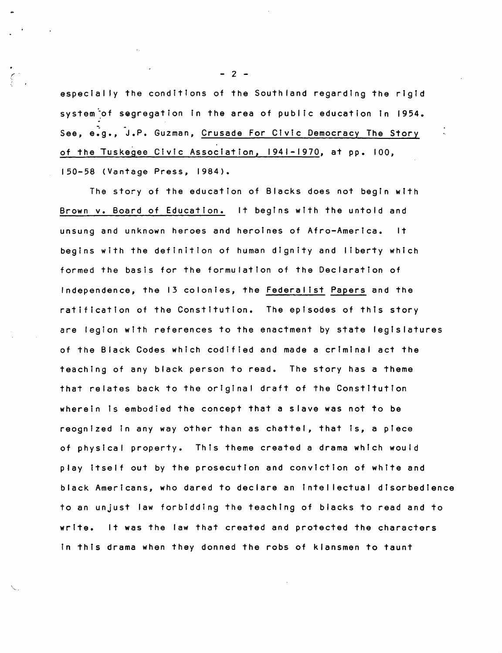especially the conditions of the Southland regarding the rigid system<sup>-</sup>of segregation in the area of public education in 1954. See, e.g., J.P. Guzman, Crusade For Civic Democracy The Story of the Tuskegee Civic Association, 1941-1970, at pp. 100, 150-58 (Vantage Press, 1984).

The story of the education of Blacks does not begin with Brown v. Board of Education. It begIns with the untold and unsung and unknown heroes and heroines of Afro-America. It begins with the definition of human dignity and liberty which formed the basis for the formulation of the Declaration of Independence, the 13 colonies, the Federalist Papers and the ratification of the Constitution. The epIsodes of this story are legion with references to the enactment by state legislatures of the Black Codes which codified and made a criminal act the teaching of any black person to read. The story has a theme that relates back to the original draft of the Constitution wherein is embodied the concept that a slave was not to be reognized in any way other than as chattel, that is, a piece of physical property. This theme created a drama whIch would play itself out by the prosecution and conviction of white and black Americans, who dared to declare an intellectual disorbedience to an unjust law forbidding the teachIng of blacks to read and to write. It was the law that created and protected the characters in this drama when they donned the robs of klansmen to taunt

 $- 2 -$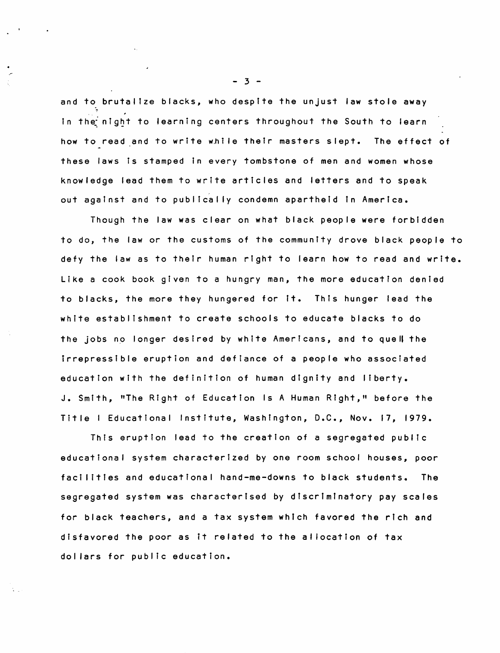and to brutalize blacks, who despite the unjust law stole away in the night to learning centers throughout the South to learn how to read and to write whi Ie their masters slept. The effect of these laws is stamped in every tombstone of men and women whose knowledge lead them to write articles and letters and to speak out against and to publical Iy condemn apartheid in America.

Though the law was clear on what black people were forbidden to do, the law or the customs of the community drove black people to defy the law as to their human right to learn how to read and write. Like a cook book given to a hungry man, the more education denied to blacks, the more they hungered for it. This hunger lead the white establishment to create schools to educate blacks to do the jobs no longer desired by white Americans, and to quell the irrepressible eruption and defiance of a people who associated education with the definition of human dignity and liberty. J. SmIth, "The Right of Education Is A Human Right," before the Title I Educational Institute, Washington, D.C., Nov. 17, 1979.

This eruption lead to the creation of a segregated publIc educational system characterized by one room school houses, poor facilities and educational hand-me-downs to black students. The segregated system was characterised by dIscrimInatory pay scales for black teachers, and a tax system which favored the rich and disfavored the poor as it related to the al location of tax dollars for public education.

- 3 -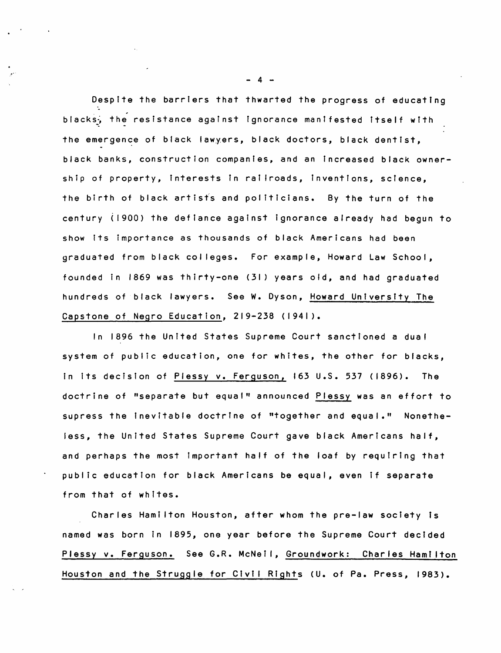Despite the barriers that thwarted the progress of educating ". blacks, the resistance against ignorance manifested itself with the emergence of black lawyers, black doctors, black dentist, black banks, construction companies, and an increased black ownership of property, interests in rai Iroads, inventions, science, the birth of black artists and politicians. By the turn of the century (1900) the defiance against ignorance already had begun to show its importance as thousands of black Americans had been graduated from black colleges. For example, Howard Law School, founded in 1869 was thirty-one (31) years old, and had graduated hundreds of black lawyers. See W. Dyson, Howard University The Capstone of Negro Education, 219-238 (1941).

In 1896 the United States Supreme Court sanctioned a dual system of public education, one for whites, the other for blacks, in Its decision of Plessy v. Ferguson, 163 U.S. 537 (1896). The doctrine of "separate but equal" announced Plessy was an effort to supress the inevitable doctrine of "together and equal." Nonetheless, the United States Supreme Court gave black Americans half, and perhaps the most important half of the loaf by requiring that public education for black Americans be equal, even if separate from that of whites.

Charles Hami Iton Houston, after whom the pre-law society is named was born in 1895, one year before the Supreme Court decided Plessy v. Ferguson. See G.R. McNeil, Groundwork: Charles Hamilton Houston and the Struggle for Civil Rights CU. of Pa. Press, 1983).

 $\mathbf{A}$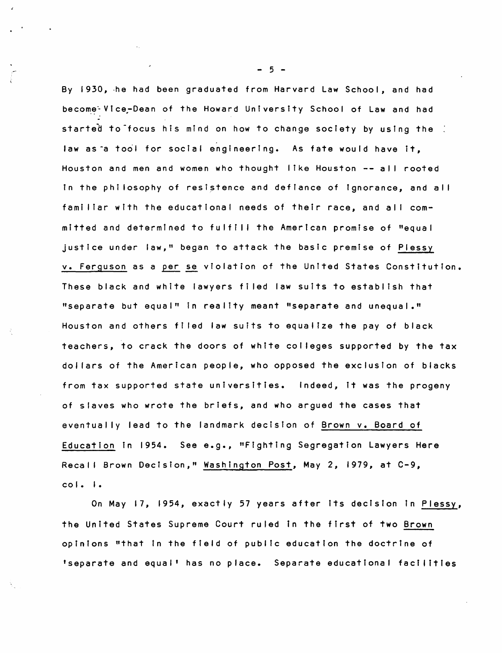By 1930, he had been graduated from Harvard Law School, and had become Vice-Dean of the Howard University School of Law and had started to focus his mind on how to change society by using the law as a tool for social engineering. As fate would have it. Houston and men and women who thought like Houston -- <sup>a</sup>II rooted in the phi losophy of resistence and defIance of Ignorance, and all familiar with the educational needs of their race, and all committed and determined to fulfill the American promise of "equal justice under law." began to attack the basic premise of Plessy v. Ferguson as a per se violation of the United States Constitution. These black and white lawyers fi led law suits to establ ish that "separate but equal" in reality meant "separate and unequal." Houston and others fi led law suits to equal ize the pay of black teachers, to crack the doors of white col leges supported by the tax doliars of the American people, who opposed the exclusion of blacks from tax supported state universities. Indeed, it was the progeny of slaves who wrote the briefs, and who argued the cases that eventually lead to the landmark decisIon of Brown v. Board of Education in 1954. See e.g., "Fighting Segregation Lawyers Here Recall Brown DecIsion," Washington Post, May 2, 1979, at C-9, co I. I.

On May 17, 1954, exactly 57 years after its decision in Plessy, the United States Supreme Court ruled in the first of two Brown opinIons "that In the field of public education the doctrine of 'separate and equal' has no place. Separate educational facIlities

- 5 -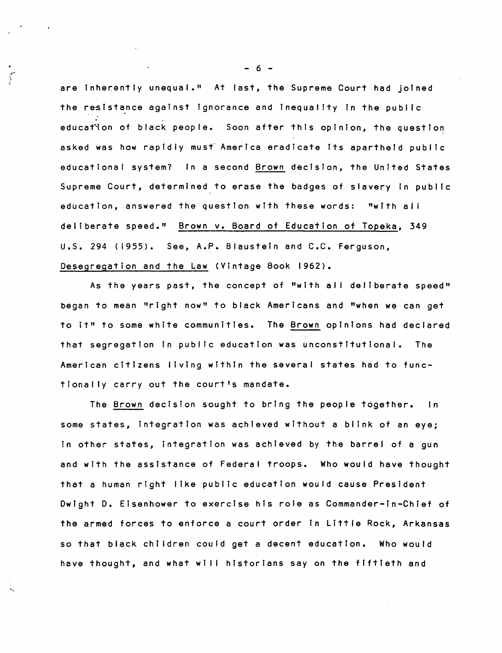are inherently unequal." At last, the Supreme Court had joined the resistance against ignorance and inequality in the public education of black people. Soon after this opinion, the question asked was how rapidly must America eradicate its apartheid public educational system? In a second Brown decision, the United States Supreme Court, determined to erase the badges of slavery in public education, answered the questIon with these words: "with ai' deliberate speed." Brown v. Board of Education of Topeka, 349 U.S. 294 (1955). See, A.P. Biaustein and C.C. Ferguson. Desegregation and the Law (Vintage Book 1962).

As the years past, the concept of "with all deliberate speed" began to mean "right now" to black Americans and "when we can get to it" to some white communities. The Brown opinions had declared that segregation in public education was unconstitutional. The American citizens living within the several states had to functiona Ily carry out the court's mandate.

The Brown decision sought to bring the people together. In some states, integration was achieved without a blink of an eye; in other states, integration was achieved by the barrel of a gun and with the assistance of Federal troops. Who would have thought that a human right like public education would cause President Dwight D. Eisenhower to exercise his role as Commander-in-Chief of the armed forces to enforce a court order in Little Rock, Arkansas so that black children could get a decent education. Who would have thought, and what will historians say on the fiftieth and

 $- 6 -$ 

 $\mathcal{L}$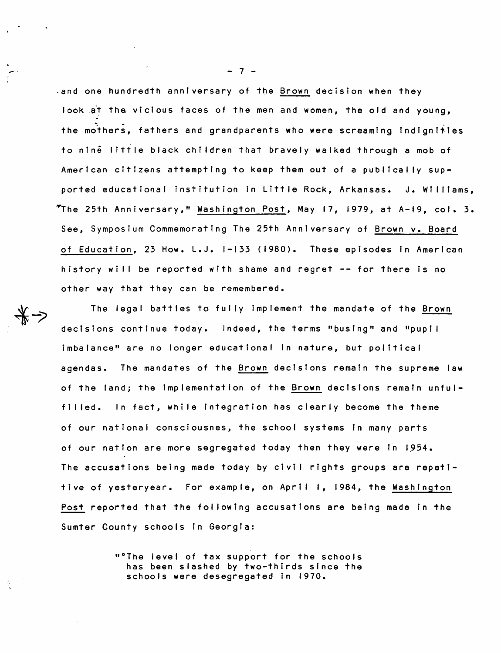and one hundredth anniversary of the Brown decision when they look at the vicious faces of the men and women, the old and young, the mothers. fathers and grandparents who were screaming indignities to nine little black children that bravely walked through a mob of American citizens attempting to keep them out of a publically supported educational institution in Little Rock, Arkansas. J. Williams. "The 25th Anniversary," Washington Post, May 17, 1979, at A-19, col. 3. See, Symposium Commemorating The 25th Anniversary of Brown v. Board of Education. 23 How. L.J. 1-133 (1980). These episodes in American history will be reported with shame and regret -- for there is no other way that they can be remembered.

The legal battles to fully implement the mandate of the Brown decisions continue today. Indeed, the terms "busing" and "pupil imbalance" are no longer educational in nature, but political agendas. The mandates of the Brown decisions remain the supreme law of the land; the implementation of the Brown decisions remain unful-In fact, while integration has clearly become the theme filled. of our national consciousnes, the school systems in many parts of our nation are more segregated today then they were in 1954. The accusations being made today by civil rights groups are repetitive of yesteryear. For example, on April 1, 1984, the Washington Post reported that the following accusations are being made in the Sumter County schools in Georgia:

> "'The level of tax support for the schools has been slashed by two-thirds since the schools were desegregated in 1970.

 $-7-$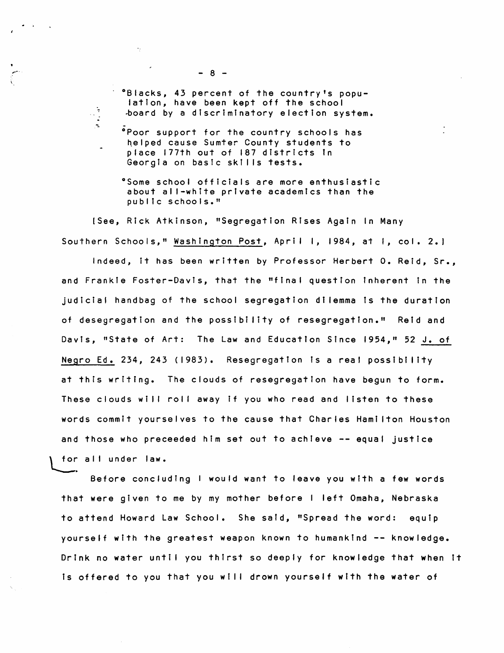°Blacks, 43 percent of the country's population, have been kept off the school ~oard by a discriminatory election system.

- .<br>Poor support for the country schools has helped cause Sumter County students to place 177th out of 187 districts in Georgia on bastc skills tests.
- °Some school officials are more enthusiastic about all-white private academics than the public schools."

[See, Rick Atkinson, "Segregation Rises Again In Many Southern Schools," Washington Post, April 1, 1984, at 1, col. 2.1

Indeed, it has been written by Professor Herbert O. Reid, Sr., and Frankie Foster-Davis, that the "final question inherent in the judicial handbag of the school segregation di lemma Is the duration of desegregation and the possibility of resegregation." Reid and Davis, "State of Art: The Law and Education Since 1954," 52 J. of Negro Ed. 234, 243 (1983). Resegregation is a real possibility at this writing. The clouds of resegregation have begun to form. These clouds will roll away if you who read and listen to these words commit yourselves to the cause that Charles Hami Iton Houston and those who preceeded him set out to achieve -- equal justice<br>\ for all under law.

Before concluding I would want to leave you with a few words that were gi ven to me by my mother before I left Omaha, Nebraska to attend Howard Law School. She said, "Spread the word: equip yourself with the greatest weapon known to hUmanktnd -- knowledge. Drink no water until you thirst so deeply for knowledge that when it is offered to you that you will drown yourself with the water of

 $\epsilon_{\rm{B}}$ 

 $\frac{1}{2}$  $\frac{1}{2}$